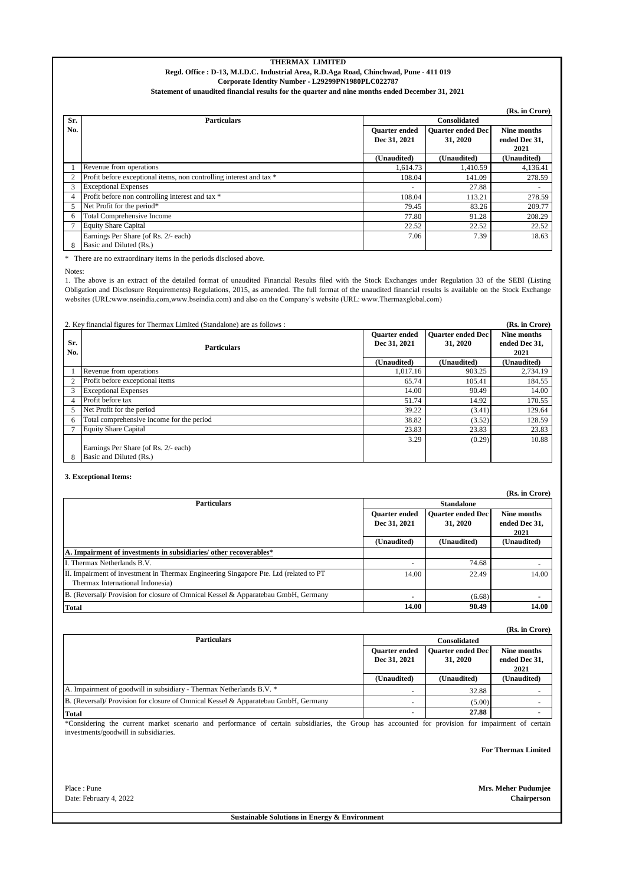# **THERMAX LIMITED Regd. Office : D-13, M.I.D.C. Industrial Area, R.D.Aga Road, Chinchwad, Pune - 411 019 Corporate Identity Number - L29299PN1980PLC022787**

**Statement of unaudited financial results for the quarter and nine months ended December 31, 2021**

|     | (Rs. in Crore)                                                      |                      |                          |               |  |  |  |  |  |  |
|-----|---------------------------------------------------------------------|----------------------|--------------------------|---------------|--|--|--|--|--|--|
| Sr. | <b>Particulars</b>                                                  | <b>Consolidated</b>  |                          |               |  |  |  |  |  |  |
| No. |                                                                     | <b>Ouarter</b> ended | <b>Ouarter ended Dec</b> | Nine months   |  |  |  |  |  |  |
|     |                                                                     | Dec 31, 2021         | 31, 2020                 | ended Dec 31, |  |  |  |  |  |  |
|     |                                                                     |                      | 2021                     |               |  |  |  |  |  |  |
|     |                                                                     | (Unaudited)          | (Unaudited)              | (Unaudited)   |  |  |  |  |  |  |
|     | Revenue from operations                                             | 1.614.73             | 1.410.59                 | 4,136.41      |  |  |  |  |  |  |
|     | Profit before exceptional items, non controlling interest and tax * | 108.04               | 141.09                   | 278.59        |  |  |  |  |  |  |
|     | <b>Exceptional Expenses</b>                                         |                      | 27.88                    |               |  |  |  |  |  |  |
|     | Profit before non controlling interest and tax *                    | 108.04               | 113.21                   | 278.59        |  |  |  |  |  |  |
|     | Net Profit for the period*                                          | 79.45                | 83.26                    | 209.77        |  |  |  |  |  |  |
| 6   | <b>Total Comprehensive Income</b>                                   | 77.80                | 91.28                    | 208.29        |  |  |  |  |  |  |
|     | <b>Equity Share Capital</b>                                         | 22.52                | 22.52                    | 22.52         |  |  |  |  |  |  |
|     | Earnings Per Share (of Rs. 2/- each)                                | 7.06                 | 7.39                     | 18.63         |  |  |  |  |  |  |
|     | Basic and Diluted (Rs.)                                             |                      |                          |               |  |  |  |  |  |  |

\* There are no extraordinary items in the periods disclosed above.

Notes:

1. The above is an extract of the detailed format of unaudited Financial Results filed with the Stock Exchanges under Regulation 33 of the SEBI (Listing Obligation and Disclosure Requirements) Regulations, 2015, as amended. The full format of the unaudited financial results is available on the Stock Exchange websites (URL:www.nseindia.com,www.bseindia.com) and also on the Company's website (URL: www.Thermaxglobal.com)

## 2. Key financial figures for Thermax Limited (Standalone) are as follows : **(Rs. in Crore)**

| Sr.<br>No. | <b>Particulars</b>                        |             | <b>Ouarter ended Dec</b><br>31, 2020 | Nine months<br>ended Dec 31,<br>2021 |
|------------|-------------------------------------------|-------------|--------------------------------------|--------------------------------------|
|            |                                           | (Unaudited) | (Unaudited)                          | (Unaudited)                          |
|            | Revenue from operations                   | 1,017.16    | 903.25                               | 2,734.19                             |
|            | Profit before exceptional items           | 65.74       | 105.41                               | 184.55                               |
|            | <b>Exceptional Expenses</b>               | 14.00       | 90.49                                | 14.00                                |
| 4          | Profit before tax                         | 51.74       | 14.92                                | 170.55                               |
|            | Net Profit for the period                 | 39.22       | (3.41)                               | 129.64                               |
| 6          | Total comprehensive income for the period | 38.82       | (3.52)                               | 128.59                               |
|            | <b>Equity Share Capital</b>               | 23.83       | 23.83                                | 23.83                                |
|            |                                           | 3.29        | (0.29)                               | 10.88                                |
|            | Earnings Per Share (of Rs. 2/- each)      |             |                                      |                                      |
| 8          | Basic and Diluted (Rs.)                   |             |                                      |                                      |

### **3. Exceptional Items:**

**(Rs. in Crore) Quarter ended Dec 31, 2021 Quarter ended Dec 31, 2020 Nine months ended Dec 31, 2021 (Unaudited) (Unaudited) (Unaudited)**  $-$  74.68 14.00 22.49 14.00  $-$  (6.68) **14.00** 90.49 14.00 **A. Impairment of investments in subsidiaries/ other recoverables\*** I. Thermax Netherlands B.V. II. Impairment of investment in Thermax Engineering Singapore Pte. Ltd (related to PT Thermax International Indonesia) **Standalone Particulars** B. (Reversal)/ Provision for closure of Omnical Kessel & Apparatebau GmbH, Germany **Total**

|                                                                                   |                      |             | (Rs. in Crore) |  |  |
|-----------------------------------------------------------------------------------|----------------------|-------------|----------------|--|--|
| <b>Particulars</b>                                                                | <b>Consolidated</b>  |             |                |  |  |
|                                                                                   | <b>Ouarter ended</b> | Nine months |                |  |  |
|                                                                                   | Dec 31, 2021         | 31, 2020    | ended Dec 31,  |  |  |
|                                                                                   |                      |             | 2021           |  |  |
|                                                                                   | (Unaudited)          | (Unaudited) | (Unaudited)    |  |  |
| A. Impairment of goodwill in subsidiary - Thermax Netherlands B.V. *              |                      | 32.88       |                |  |  |
| B. (Reversal) Provision for closure of Omnical Kessel & Apparatebau GmbH, Germany | -                    | (5.00)      |                |  |  |
| <b>Total</b>                                                                      |                      | 27.88       |                |  |  |

\*Considering the current market scenario and performance of certain subsidiaries, the Group has accounted for provision for impairment of certain investments/goodwill in subsidiaries.

**For Thermax Limited**

Date: February 4, 2022 **Chairperson**

Place : Pune **Mrs. Meher Pudumjee**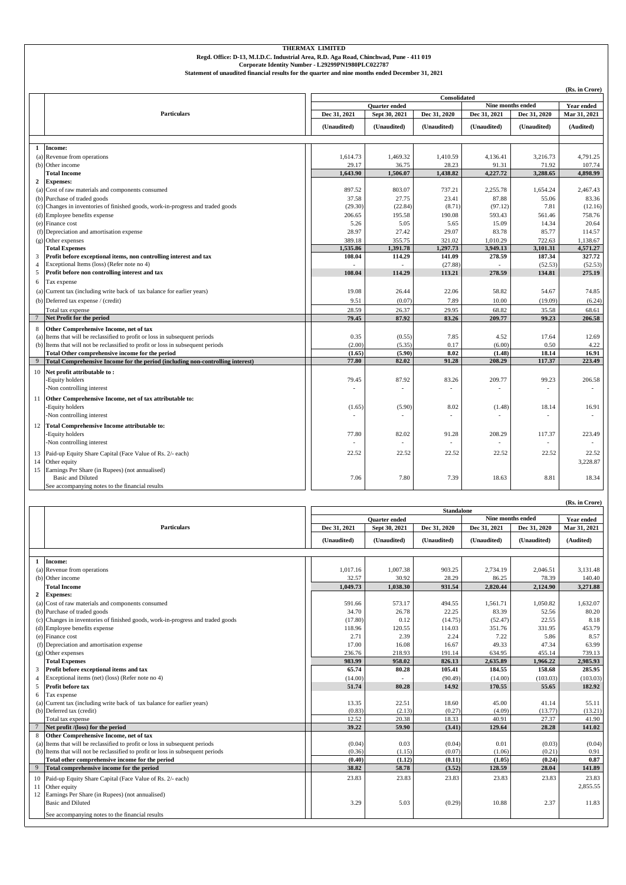|                 | Corporate Identity Number - L29299PN1980PLC022787<br>Statement of unaudited financial results for the quarter and nine months ended December 31, 2021 |              |                      |              |                          |                       |                          |  |  |  |
|-----------------|-------------------------------------------------------------------------------------------------------------------------------------------------------|--------------|----------------------|--------------|--------------------------|-----------------------|--------------------------|--|--|--|
|                 |                                                                                                                                                       |              |                      |              |                          |                       |                          |  |  |  |
|                 |                                                                                                                                                       |              |                      | Consolidated |                          |                       | (Rs. in Crore)           |  |  |  |
|                 |                                                                                                                                                       |              | <b>Ouarter</b> ended |              |                          | Nine months ended     | Year ended               |  |  |  |
|                 | <b>Particulars</b>                                                                                                                                    | Dec 31, 2021 | Sept 30, 2021        | Dec 31, 2020 | Dec 31, 2021             | Dec 31, 2020          | Mar 31, 2021             |  |  |  |
|                 |                                                                                                                                                       | (Unaudited)  | (Unaudited)          | (Unaudited)  | (Unaudited)              | (Unaudited)           | (Audited)                |  |  |  |
|                 |                                                                                                                                                       |              |                      |              |                          |                       |                          |  |  |  |
| 1               | Income:                                                                                                                                               |              |                      |              |                          |                       |                          |  |  |  |
|                 | (a) Revenue from operations                                                                                                                           | 1,614.73     | 1,469.32             | 1,410.59     | 4,136.41                 | 3,216.73              | 4.791.25                 |  |  |  |
|                 | (b) Other income                                                                                                                                      | 29.17        | 36.75                | 28.23        | 91.31                    | 71.92                 | 107.74                   |  |  |  |
|                 | <b>Total Income</b>                                                                                                                                   | 1,643.90     | 1,506.07             | 1,438.82     | 4,227.72                 | 3,288.65              | 4,898.99                 |  |  |  |
| 2               | <b>Expenses:</b>                                                                                                                                      |              |                      |              |                          |                       |                          |  |  |  |
| (a)             | Cost of raw materials and components consumed                                                                                                         | 897.52       | 803.07               | 737.21       | 2,255.78                 | 1,654.24              | 2,467.43                 |  |  |  |
|                 | (b) Purchase of traded goods                                                                                                                          | 37.58        | 27.75                | 23.41        | 87.88                    | 55.06                 | 83.36                    |  |  |  |
|                 | (c) Changes in inventories of finished goods, work-in-progress and traded goods                                                                       | (29.30)      | (22.84)              | (8.71)       | (97.12)                  | 7.81                  | (12.16)                  |  |  |  |
|                 | (d) Employee benefits expense                                                                                                                         | 206.65       | 195.58               | 190.08       | 593.43                   | 561.46                | 758.76                   |  |  |  |
|                 | (e) Finance cost                                                                                                                                      | 5.26         | 5.05                 | 5.65         | 15.09                    | 14.34                 | 20.64                    |  |  |  |
|                 | (f) Depreciation and amortisation expense                                                                                                             | 28.97        | 27.42                | 29.07        | 83.78                    | 85.77                 | 114.57                   |  |  |  |
|                 | (g) Other expenses                                                                                                                                    | 389.18       | 355.75               | 321.02       | 1,010.29                 | 722.63                | 1,138.67                 |  |  |  |
|                 | <b>Total Expenses</b>                                                                                                                                 | 1,535.86     | 1,391.78             | 1,297.73     | 3,949.13                 | 3,101.31              | 4,571.27                 |  |  |  |
| 3               | Profit before exceptional items, non controlling interest and tax                                                                                     | 108.04       | 114.29               | 141.09       | 278.59                   | 187.34                | 327.72                   |  |  |  |
| $\overline{4}$  | Exceptional Items (loss) (Refer note no 4)                                                                                                            |              |                      | (27.88)      |                          | (52.53)               | (52.53)                  |  |  |  |
| 5               | Profit before non controlling interest and tax                                                                                                        | 108.04       | 114.29               | 113.21       | 278.59                   | 134.81                | 275.19                   |  |  |  |
|                 |                                                                                                                                                       |              |                      |              |                          |                       |                          |  |  |  |
| 6               | Tax expense                                                                                                                                           |              |                      |              |                          |                       |                          |  |  |  |
|                 | (a) Current tax (including write back of tax balance for earlier years)                                                                               | 19.08        | 26.44                | 22.06        | 58.82                    | 54.67                 | 74.85                    |  |  |  |
|                 | (b) Deferred tax expense / (credit)                                                                                                                   | 9.51         | (0.07)               | 7.89         | 10.00                    | (19.09)               | (6.24)                   |  |  |  |
|                 | Total tax expense                                                                                                                                     | 28.59        | 26.37                | 29.95        | 68.82                    | 35.58                 | 68.61                    |  |  |  |
| $7\phantom{.0}$ | Net Profit for the period                                                                                                                             | 79.45        | 87.92                | 83.26        | 209.77                   | 99.23                 | 206.58                   |  |  |  |
| 8               | Other Comprehensive Income, net of tax                                                                                                                |              |                      |              |                          |                       |                          |  |  |  |
| (a)             | Items that will be reclassified to profit or loss in subsequent periods                                                                               | 0.35         | (0.55)               | 7.85         | 4.52                     | 17.64                 | 12.69                    |  |  |  |
|                 | (b) Items that will not be reclassified to profit or loss in subsequent periods                                                                       | (2.00)       | (5.35)               | 0.17         | (6.00)                   | 0.50                  | 4.22                     |  |  |  |
|                 | Total Other comprehensive income for the period                                                                                                       | (1.65)       | (5.90)               | 8.02         | (1.48)                   | 18.14                 | 16.91                    |  |  |  |
| 9               | Total Comprehensive Income for the period (including non-controlling interest)                                                                        | 77.80        | 82.02                | 91.28        | 208.29                   | 117.37                | 223.49                   |  |  |  |
| 10              | Net profit attributable to:                                                                                                                           |              |                      |              |                          |                       |                          |  |  |  |
|                 | -Equity holders                                                                                                                                       | 79.45        | 87.92                | 83.26        | 209.77                   | 99.23                 | 206.58                   |  |  |  |
|                 | Non controlling interest                                                                                                                              |              |                      |              | $\overline{\phantom{a}}$ | ÷.                    | $\overline{\phantom{a}}$ |  |  |  |
|                 |                                                                                                                                                       |              |                      |              |                          |                       |                          |  |  |  |
| 11              | Other Comprehensive Income, net of tax attributable to:                                                                                               |              |                      |              |                          |                       |                          |  |  |  |
|                 | -Equity holders                                                                                                                                       | (1.65)       | (5.90)               | 8.02         | (1.48)                   | 18.14                 | 16.91                    |  |  |  |
|                 | Non controlling interest                                                                                                                              |              |                      |              |                          |                       |                          |  |  |  |
| 12              | <b>Total Comprehensive Income attributable to:</b>                                                                                                    |              |                      |              |                          |                       |                          |  |  |  |
|                 | Equity holders                                                                                                                                        | 77.80        | 82.02                | 91.28        | 208.29                   | 117.37                | 223.49                   |  |  |  |
|                 | -Non controlling interest                                                                                                                             |              |                      |              |                          | $\tilde{\phantom{a}}$ |                          |  |  |  |
| 13              | Paid-up Equity Share Capital (Face Value of Rs. 2/- each)                                                                                             | 22.52        | 22.52                | 22.52        | 22.52                    | 22.52                 | 22.52                    |  |  |  |
| 14              | Other equity                                                                                                                                          |              |                      |              |                          |                       | 3,228.87                 |  |  |  |
| 15              | Earnings Per Share (in Rupees) (not annualised)                                                                                                       |              |                      |              |                          |                       |                          |  |  |  |
|                 | <b>Basic and Diluted</b>                                                                                                                              | 7.06         | 7.80                 | 7.39         | 18.63                    | 8.81                  | 18.34                    |  |  |  |
|                 | See accompanying notes to the financial results                                                                                                       |              |                      |              |                          |                       |                          |  |  |  |

**THERMAX LIMITED Regd. Office: D-13, M.I.D.C. Industrial Area, R.D. Aga Road, Chinchwad, Pune - 411 019**

|    | (Rs. in Crore)                                                                  |                      |               |              |              |                   |                   |  |  |  |
|----|---------------------------------------------------------------------------------|----------------------|---------------|--------------|--------------|-------------------|-------------------|--|--|--|
|    |                                                                                 | <b>Standalone</b>    |               |              |              |                   |                   |  |  |  |
|    |                                                                                 | <b>Ouarter</b> ended |               |              |              | Nine months ended | <b>Year ended</b> |  |  |  |
|    | <b>Particulars</b>                                                              | Dec 31, 2021         | Sept 30, 2021 | Dec 31, 2020 | Dec 31, 2021 | Dec 31, 2020      | Mar 31, 2021      |  |  |  |
|    |                                                                                 | (Unaudited)          | (Unaudited)   | (Unaudited)  | (Unaudited)  | (Unaudited)       | (Audited)         |  |  |  |
|    |                                                                                 |                      |               |              |              |                   |                   |  |  |  |
|    | Income:                                                                         |                      |               |              |              |                   |                   |  |  |  |
|    | (a) Revenue from operations                                                     | 1,017.16             | 1,007.38      | 903.25       | 2,734.19     | 2,046.51          | 3,131.48          |  |  |  |
|    | (b) Other income                                                                | 32.57                | 30.92         | 28.29        | 86.25        | 78.39             | 140.40            |  |  |  |
|    | <b>Total Income</b>                                                             | 1,049.73             | 1,038.30      | 931.54       | 2,820.44     | 2,124.90          | 3,271.88          |  |  |  |
|    | 2 Expenses:                                                                     |                      |               |              |              |                   |                   |  |  |  |
|    | (a) Cost of raw materials and components consumed                               | 591.66               | 573.17        | 494.55       | 1.561.71     | 1.050.82          | 1.632.07          |  |  |  |
|    | (b) Purchase of traded goods                                                    | 34.70                | 26.78         | 22.25        | 83.39        | 52.56             | 80.20             |  |  |  |
|    | (c) Changes in inventories of finished goods, work-in-progress and traded goods | (17.80)              | 0.12          | (14.75)      | (52.47)      | 22.55             | 8.18              |  |  |  |
|    | (d) Employee benefits expense                                                   | 118.96               | 120.55        | 114.03       | 351.76       | 331.95            | 453.79            |  |  |  |
|    | (e) Finance cost                                                                | 2.71                 | 2.39          | 2.24         | 7.22         | 5.86              | 8.57              |  |  |  |
|    | (f) Depreciation and amortisation expense                                       | 17.00                | 16.08         | 16.67        | 49.33        | 47.34             | 63.99             |  |  |  |
|    | $(g)$ Other expenses                                                            | 236.76               | 218.93        | 191.14       | 634.95       | 455.14            | 739.13            |  |  |  |
|    | <b>Total Expenses</b>                                                           | 983.99               | 958.02        | 826.13       | 2,635.89     | 1.966.22          | 2.985.93          |  |  |  |
|    | Profit before exceptional items and tax                                         | 65.74                | 80.28         | 105.41       | 184.55       | 158.68            | 285.95            |  |  |  |
|    | Exceptional items (net) (loss) (Refer note no 4)                                | (14.00)              |               | (90.49)      | (14.00)      | (103.03)          | (103.03)          |  |  |  |
| 5  | Profit before tax                                                               | 51.74                | 80.28         | 14.92        | 170.55       | 55.65             | 182.92            |  |  |  |
| 6  | Tax expense                                                                     |                      |               |              |              |                   |                   |  |  |  |
|    | (a) Current tax (including write back of tax balance for earlier years)         | 13.35                | 22.51         | 18.60        | 45.00        | 41.14             | 55.11             |  |  |  |
|    | (b) Deferred tax (credit)                                                       | (0.83)               | (2.13)        | (0.27)       | (4.09)       | (13.77)           | (13.21)           |  |  |  |
|    | Total tax expense                                                               | 12.52                | 20.38         | 18.33        | 40.91        | 27.37             | 41.90             |  |  |  |
|    | Net profit /(loss) for the period                                               | 39.22                | 59.90         | (3.41)       | 129.64       | 28.28             | 141.02            |  |  |  |
| 8  | Other Comprehensive Income, net of tax                                          |                      |               |              |              |                   |                   |  |  |  |
|    | (a) Items that will be reclassified to profit or loss in subsequent periods     | (0.04)               | 0.03          | (0.04)       | 0.01         | (0.03)            | (0.04)            |  |  |  |
|    | (b) Items that will not be reclassified to profit or loss in subsequent periods | (0.36)               | (1.15)        | (0.07)       | (1.06)       | (0.21)            | 0.91              |  |  |  |
|    | Total other comprehensive income for the period                                 | (0.40)               | (1.12)        | (0.11)       | (1.05)       | (0.24)            | 0.87              |  |  |  |
| 9  | Total comprehensive income for the period                                       | 38.82                | 58.78         | (3.52)       | 128.59       | 28.04             | 141.89            |  |  |  |
| 10 | Paid-up Equity Share Capital (Face Value of Rs. 2/- each)                       | 23.83                | 23.83         | 23.83        | 23.83        | 23.83             | 23.83             |  |  |  |
| 11 | Other equity                                                                    |                      |               |              |              |                   | 2,855.55          |  |  |  |
|    | 12 Earnings Per Share (in Rupees) (not annualised)                              |                      |               |              |              |                   |                   |  |  |  |
|    | <b>Basic and Diluted</b>                                                        | 3.29                 | 5.03          | (0.29)       | 10.88        | 2.37              | 11.83             |  |  |  |
|    |                                                                                 |                      |               |              |              |                   |                   |  |  |  |
|    | See accompanying notes to the financial results                                 |                      |               |              |              |                   |                   |  |  |  |